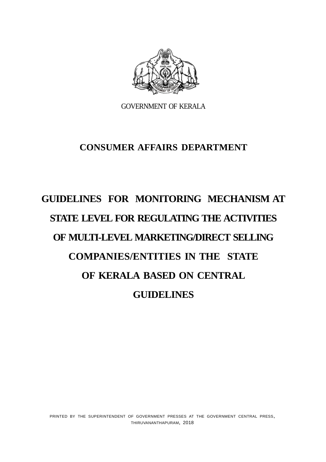

GOVERNMENT OF KERALA

# **CONSUMER AFFAIRS DEPARTMENT**

# **GUIDELINES FOR MONITORING MECHANISM AT STATE LEVEL FOR REGULATING THE ACTIVITIES OF MULTI-LEVEL MARKETING/DIRECT SELLING COMPANIES/ENTITIES IN THE STATE OF KERALA BASED ON CENTRAL GUIDELINES**

PRINTED BY THE SUPERINTENDENT OF GOVERNMENT PRESSES AT THE GOVERNMENT CENTRAL PRESS, THIRUVANANTHAPURAM, 2018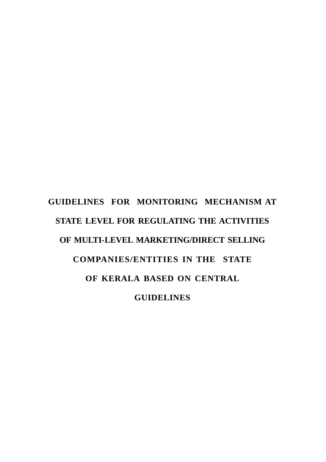# **GUIDELINES FOR MONITORING MECHANISM AT STATE LEVEL FOR REGULATING THE ACTIVITIES OF MULTI-LEVEL MARKETING/DIRECT SELLING COMPANIES/ENTITIES IN THE STATE OF KERALA BASED ON CENTRAL GUIDELINES**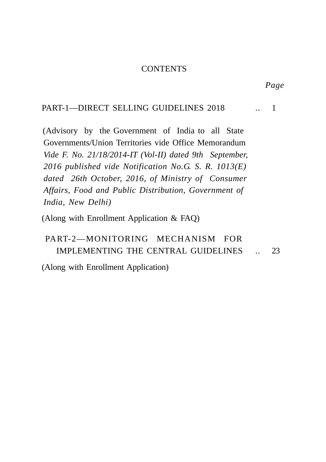#### **CONTENTS**

#### PART-1—DIRECT SELLING GUIDELINES 2018 ... 1

 (Advisory by the Government of India to all State Governments/Union Territories vide Office Memorandum *Vide F. No. 21/18/2014-IT (Vol-II) dated 9th September, 2016 published vide Notification No.G. S. R. 1013(E) dated 26th October, 2016, of Ministry of Consumer Affairs, Food and Public Distribution, Government of India, New Delhi)*

(Along with Enrollment Application & FAQ)

# PART-2—MONITORING MECHANISM FOR IMPLEMENTING THE CENTRAL GUIDELINES .. 23

(Along with Enrollment Application)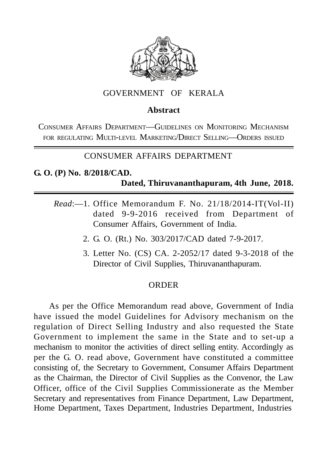

## GOVERNMENT OF KERALA

## **Abstract**

CONSUMER AFFAIRS DEPARTMENT—GUIDELINES ON MONITORING MECHANISM FOR REGULATING MULTI-LEVEL MARKETING/DIRECT SELLING—ORDERS ISSUED

# CONSUMER AFFAIRS DEPARTMENT

# **G. O. (P) No. 8/2018/CAD. Dated, Thiruvananthapuram, 4th June, 2018.**

- *Read*:—1. Office Memorandum F. No. 21/18/2014-IT(Vol-II) dated 9-9-2016 received from Department of Consumer Affairs, Government of India.
	- 2. G. O. (Rt.) No. 303/2017/CAD dated 7-9-2017.
	- 3. Letter No. (CS) CA. 2-2052/17 dated 9-3-2018 of the Director of Civil Supplies, Thiruvananthapuram.

#### **ORDER**

As per the Office Memorandum read above, Government of India have issued the model Guidelines for Advisory mechanism on the regulation of Direct Selling Industry and also requested the State Government to implement the same in the State and to set-up a mechanism to monitor the activities of direct selling entity. Accordingly as per the G. O. read above, Government have constituted a committee consisting of, the Secretary to Government, Consumer Affairs Department as the Chairman, the Director of Civil Supplies as the Convenor, the Law Officer, office of the Civil Supplies Commissionerate as the Member Secretary and representatives from Finance Department, Law Department, Home Department, Taxes Department, Industries Department, Industries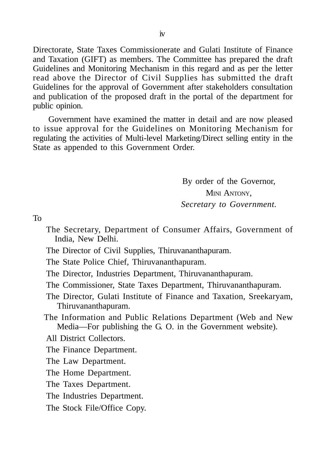Directorate, State Taxes Commissionerate and Gulati Institute of Finance and Taxation (GIFT) as members. The Committee has prepared the draft Guidelines and Monitoring Mechanism in this regard and as per the letter read above the Director of Civil Supplies has submitted the draft Guidelines for the approval of Government after stakeholders consultation and publication of the proposed draft in the portal of the department for public opinion.

Government have examined the matter in detail and are now pleased to issue approval for the Guidelines on Monitoring Mechanism for regulating the activities of Multi-level Marketing/Direct selling entity in the State as appended to this Government Order.

> By order of the Governor, MINI ANTONY. *Secretary to Government.*

To

- The Secretary, Department of Consumer Affairs, Government of India, New Delhi.
- The Director of Civil Supplies, Thiruvananthapuram.
- The State Police Chief, Thiruvananthapuram.
- The Director, Industries Department, Thiruvananthapuram.
- The Commissioner, State Taxes Department, Thiruvananthapuram.
- The Director, Gulati Institute of Finance and Taxation, Sreekaryam, Thiruvananthapuram.
- The Information and Public Relations Department (Web and New Media—For publishing the G. O. in the Government website).
- All District Collectors.
- The Finance Department.
- The Law Department.
- The Home Department.
- The Taxes Department.
- The Industries Department.
- The Stock File/Office Copy.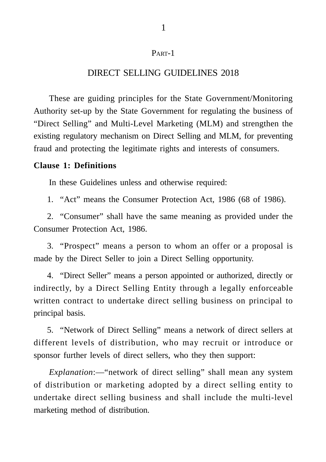#### PART-1

## DIRECT SELLING GUIDELINES 2018

These are guiding principles for the State Government/Monitoring Authority set-up by the State Government for regulating the business of "Direct Selling" and Multi-Level Marketing (MLM) and strengthen the existing regulatory mechanism on Direct Selling and MLM, for preventing fraud and protecting the legitimate rights and interests of consumers.

#### **Clause 1: Definitions**

In these Guidelines unless and otherwise required:

1. "Act" means the Consumer Protection Act, 1986 (68 of 1986).

2. "Consumer" shall have the same meaning as provided under the Consumer Protection Act, 1986.

3. "Prospect" means a person to whom an offer or a proposal is made by the Direct Seller to join a Direct Selling opportunity.

4. "Direct Seller" means a person appointed or authorized, directly or indirectly, by a Direct Selling Entity through a legally enforceable written contract to undertake direct selling business on principal to principal basis.

5. "Network of Direct Selling" means a network of direct sellers at different levels of distribution, who may recruit or introduce or sponsor further levels of direct sellers, who they then support:

*Explanation*:—"network of direct selling" shall mean any system of distribution or marketing adopted by a direct selling entity to undertake direct selling business and shall include the multi-level marketing method of distribution.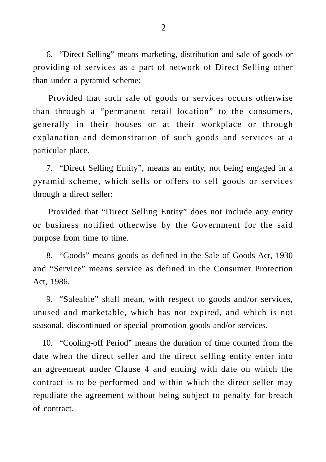6. "Direct Selling" means marketing, distribution and sale of goods or providing of services as a part of network of Direct Selling other than under a pyramid scheme:

Provided that such sale of goods or services occurs otherwise than through a "permanent retail location" to the consumers, generally in their houses or at their workplace or through explanation and demonstration of such goods and services at a particular place.

7. "Direct Selling Entity", means an entity, not being engaged in a pyramid scheme, which sells or offers to sell goods or services through a direct seller:

Provided that "Direct Selling Entity" does not include any entity or business notified otherwise by the Government for the said purpose from time to time.

8. "Goods" means goods as defined in the Sale of Goods Act, 1930 and "Service" means service as defined in the Consumer Protection Act, 1986.

9. "Saleable" shall mean, with respect to goods and/or services, unused and marketable, which has not expired, and which is not seasonal, discontinued or special promotion goods and/or services.

10. "Cooling-off Period" means the duration of time counted from the date when the direct seller and the direct selling entity enter into an agreement under Clause 4 and ending with date on which the contract is to be performed and within which the direct seller may repudiate the agreement without being subject to penalty for breach of contract.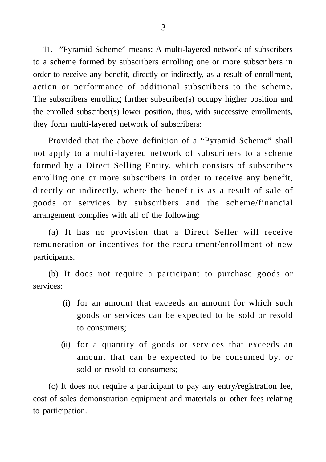11. "Pyramid Scheme" means: A multi-layered network of subscribers to a scheme formed by subscribers enrolling one or more subscribers in order to receive any benefit, directly or indirectly, as a result of enrollment, action or performance of additional subscribers to the scheme. The subscribers enrolling further subscriber(s) occupy higher position and the enrolled subscriber(s) lower position, thus, with successive enrollments, they form multi-layered network of subscribers:

Provided that the above definition of a "Pyramid Scheme" shall not apply to a multi-layered network of subscribers to a scheme formed by a Direct Selling Entity, which consists of subscribers enrolling one or more subscribers in order to receive any benefit, directly or indirectly, where the benefit is as a result of sale of goods or services by subscribers and the scheme/financial arrangement complies with all of the following:

(a) It has no provision that a Direct Seller will receive remuneration or incentives for the recruitment/enrollment of new participants.

(b) It does not require a participant to purchase goods or services:

- (i) for an amount that exceeds an amount for which such goods or services can be expected to be sold or resold to consumers;
- (ii) for a quantity of goods or services that exceeds an amount that can be expected to be consumed by, or sold or resold to consumers;

(c) It does not require a participant to pay any entry/registration fee, cost of sales demonstration equipment and materials or other fees relating to participation.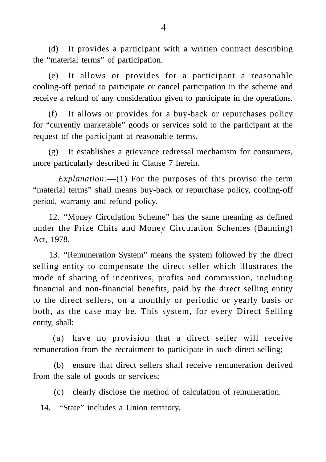(d) It provides a participant with a written contract describing the "material terms" of participation.

(e) It allows or provides for a participant a reasonable cooling-off period to participate or cancel participation in the scheme and receive a refund of any consideration given to participate in the operations.

(f) It allows or provides for a buy-back or repurchases policy for "currently marketable" goods or services sold to the participant at the request of the participant at reasonable terms.

(g) It establishes a grievance redressal mechanism for consumers, more particularly described in Clause 7 herein.

*Explanation:*—(1) For the purposes of this proviso the term "material terms" shall means buy-back or repurchase policy, cooling-off period, warranty and refund policy.

12. "Money Circulation Scheme" has the same meaning as defined under the Prize Chits and Money Circulation Schemes (Banning) Act, 1978.

13. "Remuneration System" means the system followed by the direct selling entity to compensate the direct seller which illustrates the mode of sharing of incentives, profits and commission, including financial and non-financial benefits, paid by the direct selling entity to the direct sellers, on a monthly or periodic or yearly basis or both, as the case may be. This system, for every Direct Selling entity, shall:

(a) have no provision that a direct seller will receive remuneration from the recruitment to participate in such direct selling;

(b) ensure that direct sellers shall receive remuneration derived from the sale of goods or services;

(c) clearly disclose the method of calculation of remuneration.

14. "State" includes a Union territory.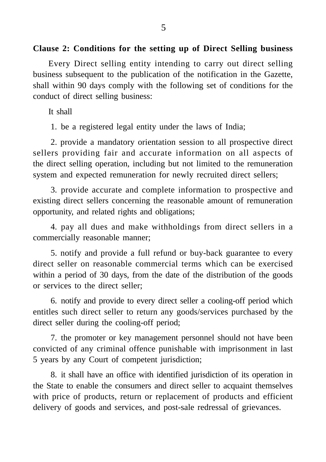#### **Clause 2: Conditions for the setting up of Direct Selling business**

Every Direct selling entity intending to carry out direct selling business subsequent to the publication of the notification in the Gazette, shall within 90 days comply with the following set of conditions for the conduct of direct selling business:

It shall

1. be a registered legal entity under the laws of India;

2. provide a mandatory orientation session to all prospective direct sellers providing fair and accurate information on all aspects of the direct selling operation, including but not limited to the remuneration system and expected remuneration for newly recruited direct sellers;

3. provide accurate and complete information to prospective and existing direct sellers concerning the reasonable amount of remuneration opportunity, and related rights and obligations;

4. pay all dues and make withholdings from direct sellers in a commercially reasonable manner;

5. notify and provide a full refund or buy-back guarantee to every direct seller on reasonable commercial terms which can be exercised within a period of 30 days, from the date of the distribution of the goods or services to the direct seller;

6. notify and provide to every direct seller a cooling-off period which entitles such direct seller to return any goods/services purchased by the direct seller during the cooling-off period;

7. the promoter or key management personnel should not have been convicted of any criminal offence punishable with imprisonment in last 5 years by any Court of competent jurisdiction;

8. it shall have an office with identified jurisdiction of its operation in the State to enable the consumers and direct seller to acquaint themselves with price of products, return or replacement of products and efficient delivery of goods and services, and post-sale redressal of grievances.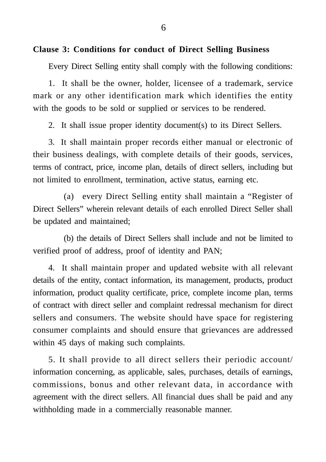#### **Clause 3: Conditions for conduct of Direct Selling Business**

Every Direct Selling entity shall comply with the following conditions:

1. It shall be the owner, holder, licensee of a trademark, service mark or any other identification mark which identifies the entity with the goods to be sold or supplied or services to be rendered.

2. It shall issue proper identity document(s) to its Direct Sellers.

3. It shall maintain proper records either manual or electronic of their business dealings, with complete details of their goods, services, terms of contract, price, income plan, details of direct sellers, including but not limited to enrollment, termination, active status, earning etc.

(a) every Direct Selling entity shall maintain a "Register of Direct Sellers" wherein relevant details of each enrolled Direct Seller shall be updated and maintained;

(b) the details of Direct Sellers shall include and not be limited to verified proof of address, proof of identity and PAN;

4. It shall maintain proper and updated website with all relevant details of the entity, contact information, its management, products, product information, product quality certificate, price, complete income plan, terms of contract with direct seller and complaint redressal mechanism for direct sellers and consumers. The website should have space for registering consumer complaints and should ensure that grievances are addressed within 45 days of making such complaints.

5. It shall provide to all direct sellers their periodic account/ information concerning, as applicable, sales, purchases, details of earnings, commissions, bonus and other relevant data, in accordance with agreement with the direct sellers. All financial dues shall be paid and any withholding made in a commercially reasonable manner.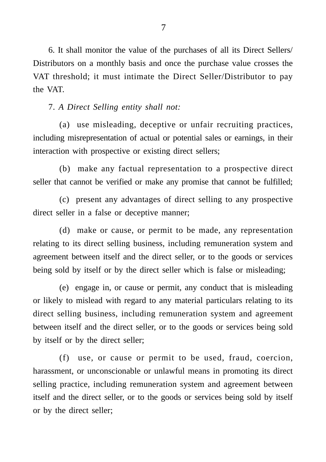6. It shall monitor the value of the purchases of all its Direct Sellers/ Distributors on a monthly basis and once the purchase value crosses the VAT threshold; it must intimate the Direct Seller/Distributor to pay the VAT.

7. *A Direct Selling entity shall not:*

(a) use misleading, deceptive or unfair recruiting practices, including misrepresentation of actual or potential sales or earnings, in their interaction with prospective or existing direct sellers;

(b) make any factual representation to a prospective direct seller that cannot be verified or make any promise that cannot be fulfilled;

(c) present any advantages of direct selling to any prospective direct seller in a false or deceptive manner;

(d) make or cause, or permit to be made, any representation relating to its direct selling business, including remuneration system and agreement between itself and the direct seller, or to the goods or services being sold by itself or by the direct seller which is false or misleading;

(e) engage in, or cause or permit, any conduct that is misleading or likely to mislead with regard to any material particulars relating to its direct selling business, including remuneration system and agreement between itself and the direct seller, or to the goods or services being sold by itself or by the direct seller;

(f) use, or cause or permit to be used, fraud, coercion, harassment, or unconscionable or unlawful means in promoting its direct selling practice, including remuneration system and agreement between itself and the direct seller, or to the goods or services being sold by itself or by the direct seller;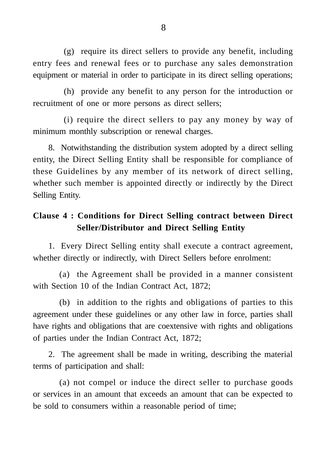(g) require its direct sellers to provide any benefit, including entry fees and renewal fees or to purchase any sales demonstration equipment or material in order to participate in its direct selling operations;

(h) provide any benefit to any person for the introduction or recruitment of one or more persons as direct sellers;

(i) require the direct sellers to pay any money by way of minimum monthly subscription or renewal charges.

8. Notwithstanding the distribution system adopted by a direct selling entity, the Direct Selling Entity shall be responsible for compliance of these Guidelines by any member of its network of direct selling, whether such member is appointed directly or indirectly by the Direct Selling Entity.

# **Clause 4 : Conditions for Direct Selling contract between Direct Seller/Distributor and Direct Selling Entity**

1. Every Direct Selling entity shall execute a contract agreement, whether directly or indirectly, with Direct Sellers before enrolment:

(a) the Agreement shall be provided in a manner consistent with Section 10 of the Indian Contract Act, 1872;

(b) in addition to the rights and obligations of parties to this agreement under these guidelines or any other law in force, parties shall have rights and obligations that are coextensive with rights and obligations of parties under the Indian Contract Act, 1872;

2. The agreement shall be made in writing, describing the material terms of participation and shall:

(a) not compel or induce the direct seller to purchase goods or services in an amount that exceeds an amount that can be expected to be sold to consumers within a reasonable period of time;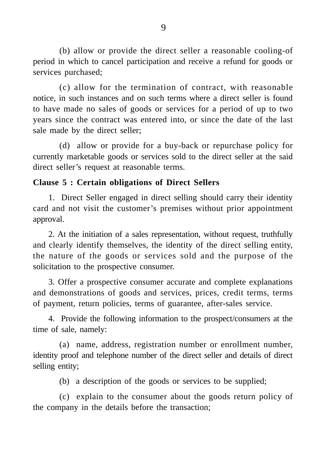(b) allow or provide the direct seller a reasonable cooling-of period in which to cancel participation and receive a refund for goods or services purchased;

(c) allow for the termination of contract, with reasonable notice, in such instances and on such terms where a direct seller is found to have made no sales of goods or services for a period of up to two years since the contract was entered into, or since the date of the last sale made by the direct seller;

(d) allow or provide for a buy-back or repurchase policy for currently marketable goods or services sold to the direct seller at the said direct seller's request at reasonable terms.

# **Clause 5 : Certain obligations of Direct Sellers**

1. Direct Seller engaged in direct selling should carry their identity card and not visit the customer's premises without prior appointment approval.

2. At the initiation of a sales representation, without request, truthfully and clearly identify themselves, the identity of the direct selling entity, the nature of the goods or services sold and the purpose of the solicitation to the prospective consumer.

3. Offer a prospective consumer accurate and complete explanations and demonstrations of goods and services, prices, credit terms, terms of payment, return policies, terms of guarantee, after-sales service.

4. Provide the following information to the prospect/consumers at the time of sale, namely:

(a) name, address, registration number or enrollment number, identity proof and telephone number of the direct seller and details of direct selling entity;

(b) a description of the goods or services to be supplied;

(c) explain to the consumer about the goods return policy of the company in the details before the transaction;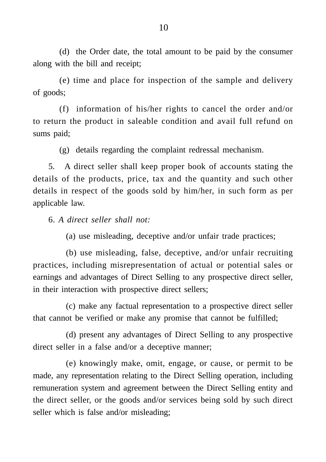(d) the Order date, the total amount to be paid by the consumer along with the bill and receipt;

(e) time and place for inspection of the sample and delivery of goods;

(f) information of his/her rights to cancel the order and/or to return the product in saleable condition and avail full refund on sums paid;

(g) details regarding the complaint redressal mechanism.

5. A direct seller shall keep proper book of accounts stating the details of the products, price, tax and the quantity and such other details in respect of the goods sold by him/her, in such form as per applicable law.

6. *A direct seller shall not:*

(a) use misleading, deceptive and/or unfair trade practices;

(b) use misleading, false, deceptive, and/or unfair recruiting practices, including misrepresentation of actual or potential sales or earnings and advantages of Direct Selling to any prospective direct seller, in their interaction with prospective direct sellers;

(c) make any factual representation to a prospective direct seller that cannot be verified or make any promise that cannot be fulfilled;

(d) present any advantages of Direct Selling to any prospective direct seller in a false and/or a deceptive manner;

(e) knowingly make, omit, engage, or cause, or permit to be made, any representation relating to the Direct Selling operation, including remuneration system and agreement between the Direct Selling entity and the direct seller, or the goods and/or services being sold by such direct seller which is false and/or misleading;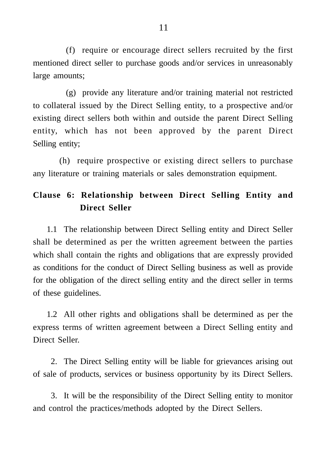(f) require or encourage direct sellers recruited by the first mentioned direct seller to purchase goods and/or services in unreasonably large amounts;

(g) provide any literature and/or training material not restricted to collateral issued by the Direct Selling entity, to a prospective and/or existing direct sellers both within and outside the parent Direct Selling entity, which has not been approved by the parent Direct Selling entity;

(h) require prospective or existing direct sellers to purchase any literature or training materials or sales demonstration equipment.

# **Clause 6: Relationship between Direct Selling Entity and Direct Seller**

1.1 The relationship between Direct Selling entity and Direct Seller shall be determined as per the written agreement between the parties which shall contain the rights and obligations that are expressly provided as conditions for the conduct of Direct Selling business as well as provide for the obligation of the direct selling entity and the direct seller in terms of these guidelines.

1.2 All other rights and obligations shall be determined as per the express terms of written agreement between a Direct Selling entity and Direct Seller.

2. The Direct Selling entity will be liable for grievances arising out of sale of products, services or business opportunity by its Direct Sellers.

3. It will be the responsibility of the Direct Selling entity to monitor and control the practices/methods adopted by the Direct Sellers.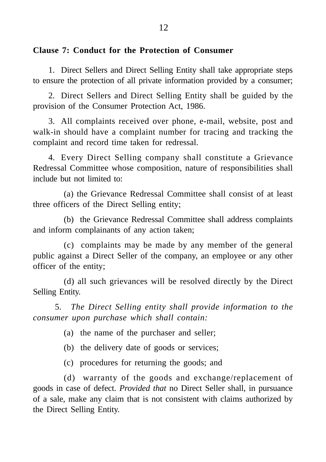## **Clause 7: Conduct for the Protection of Consumer**

1. Direct Sellers and Direct Selling Entity shall take appropriate steps to ensure the protection of all private information provided by a consumer;

2. Direct Sellers and Direct Selling Entity shall be guided by the provision of the Consumer Protection Act, 1986.

3. All complaints received over phone, e-mail, website, post and walk-in should have a complaint number for tracing and tracking the complaint and record time taken for redressal.

4. Every Direct Selling company shall constitute a Grievance Redressal Committee whose composition, nature of responsibilities shall include but not limited to:

(a) the Grievance Redressal Committee shall consist of at least three officers of the Direct Selling entity;

(b) the Grievance Redressal Committee shall address complaints and inform complainants of any action taken;

(c) complaints may be made by any member of the general public against a Direct Seller of the company, an employee or any other officer of the entity;

(d) all such grievances will be resolved directly by the Direct Selling Entity.

5. *The Direct Selling entity shall provide information to the consumer upon purchase which shall contain:*

(a) the name of the purchaser and seller;

(b) the delivery date of goods or services;

(c) procedures for returning the goods; and

(d) warranty of the goods and exchange/replacement of goods in case of defect. *Provided that* no Direct Seller shall, in pursuance of a sale, make any claim that is not consistent with claims authorized by the Direct Selling Entity.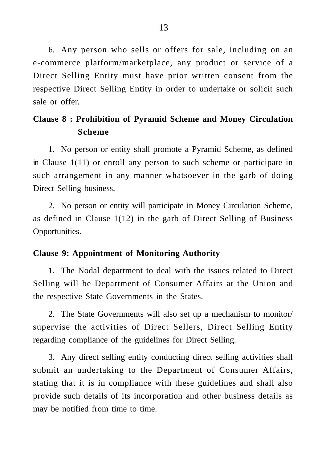6. Any person who sells or offers for sale, including on an e-commerce platform/marketplace, any product or service of a Direct Selling Entity must have prior written consent from the respective Direct Selling Entity in order to undertake or solicit such sale or offer.

# **Clause 8 : Prohibition of Pyramid Scheme and Money Circulation Scheme**

1. No person or entity shall promote a Pyramid Scheme, as defined in Clause 1(11) or enroll any person to such scheme or participate in such arrangement in any manner whatsoever in the garb of doing Direct Selling business.

2. No person or entity will participate in Money Circulation Scheme, as defined in Clause 1(12) in the garb of Direct Selling of Business Opportunities.

#### **Clause 9: Appointment of Monitoring Authority**

1. The Nodal department to deal with the issues related to Direct Selling will be Department of Consumer Affairs at the Union and the respective State Governments in the States.

2. The State Governments will also set up a mechanism to monitor/ supervise the activities of Direct Sellers, Direct Selling Entity regarding compliance of the guidelines for Direct Selling.

3. Any direct selling entity conducting direct selling activities shall submit an undertaking to the Department of Consumer Affairs, stating that it is in compliance with these guidelines and shall also provide such details of its incorporation and other business details as may be notified from time to time.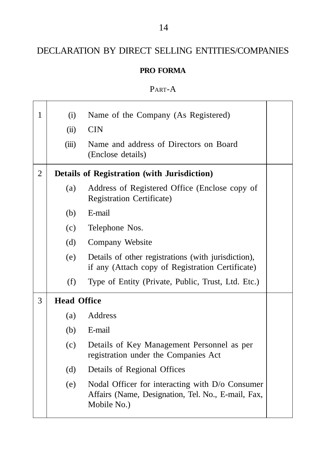# DECLARATION BY DIRECT SELLING ENTITIES/COMPANIES

## **PRO FORMA**

# PART-A

| $\mathbf{1}$   | (i)                | Name of the Company (As Registered)                                                                                  |  |
|----------------|--------------------|----------------------------------------------------------------------------------------------------------------------|--|
|                | (ii)               | <b>CIN</b>                                                                                                           |  |
|                | (iii)              | Name and address of Directors on Board<br>(Enclose details)                                                          |  |
| $\overline{2}$ |                    | Details of Registration (with Jurisdiction)                                                                          |  |
|                | (a)                | Address of Registered Office (Enclose copy of<br><b>Registration Certificate)</b>                                    |  |
|                | (b)                | E-mail                                                                                                               |  |
|                | (c)                | Telephone Nos.                                                                                                       |  |
|                | (d)                | Company Website                                                                                                      |  |
|                | (e)                | Details of other registrations (with jurisdiction),<br>if any (Attach copy of Registration Certificate)              |  |
|                | (f)                | Type of Entity (Private, Public, Trust, Ltd. Etc.)                                                                   |  |
| 3              | <b>Head Office</b> |                                                                                                                      |  |
|                | (a)                | Address                                                                                                              |  |
|                | (b)                | E-mail                                                                                                               |  |
|                | (c)                | Details of Key Management Personnel as per<br>registration under the Companies Act                                   |  |
|                | (d)                | Details of Regional Offices                                                                                          |  |
|                | (e)                | Nodal Officer for interacting with D/o Consumer<br>Affairs (Name, Designation, Tel. No., E-mail, Fax,<br>Mobile No.) |  |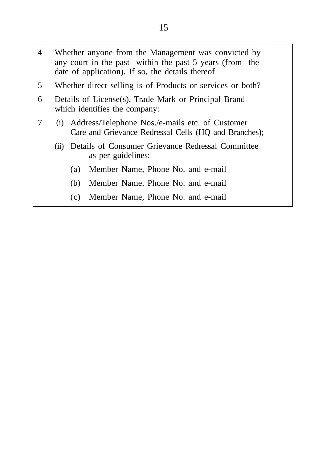| 4 | Whether anyone from the Management was convicted by<br>any court in the past within the past 5 years (from the<br>date of application). If so, the details thereof |
|---|--------------------------------------------------------------------------------------------------------------------------------------------------------------------|
| 5 | Whether direct selling is of Products or services or both?                                                                                                         |
| 6 | Details of License(s), Trade Mark or Principal Brand<br>which identifies the company:                                                                              |
| 7 | Address/Telephone Nos./e-mails etc. of Customer<br>(1)<br>Care and Grievance Redressal Cells (HQ and Branches);                                                    |
|   | Details of Consumer Grievance Redressal Committee<br>(ii)<br>as per guidelines:                                                                                    |
|   | Member Name, Phone No. and e-mail<br>(a)                                                                                                                           |
|   | Member Name, Phone No. and e-mail<br>(b)                                                                                                                           |
|   | Member Name, Phone No. and e-mail<br>(c)                                                                                                                           |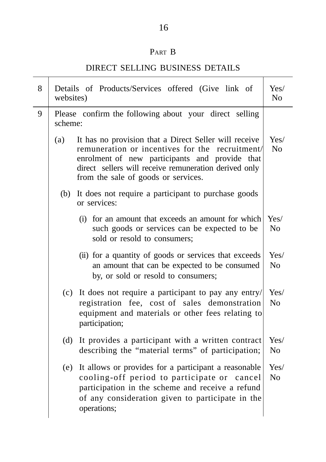# PART B

# DIRECT SELLING BUSINESS DETAILS

| 8 | Details of Products/Services offered (Give link of<br>websites)                                                                                                                                                                                                   |                        |
|---|-------------------------------------------------------------------------------------------------------------------------------------------------------------------------------------------------------------------------------------------------------------------|------------------------|
| 9 | Please confirm the following about your direct selling<br>scheme:                                                                                                                                                                                                 |                        |
|   | It has no provision that a Direct Seller will receive<br>(a)<br>remuneration or incentives for the recruitment/<br>enrolment of new participants and provide that<br>direct sellers will receive remuneration derived only<br>from the sale of goods or services. | Yes/<br>No             |
|   | It does not require a participant to purchase goods<br>(b)<br>or services:                                                                                                                                                                                        |                        |
|   | (i) for an amount that exceeds an amount for which<br>such goods or services can be expected to be<br>sold or resold to consumers;                                                                                                                                | Yes/<br>N <sub>o</sub> |
|   | (ii) for a quantity of goods or services that exceeds<br>an amount that can be expected to be consumed<br>by, or sold or resold to consumers;                                                                                                                     | Yes/<br>No             |
|   | It does not require a participant to pay any entry/<br>(c)<br>registration fee, cost of sales demonstration<br>equipment and materials or other fees relating to<br>participation;                                                                                | Yes/<br>N <sub>o</sub> |
|   | It provides a participant with a written contract<br>(d)<br>describing the "material terms" of participation;                                                                                                                                                     | Yes/<br>N <sub>o</sub> |
|   | It allows or provides for a participant a reasonable<br>(e)<br>cooling-off period to participate or cancel<br>participation in the scheme and receive a refund<br>of any consideration given to participate in the<br>operations;                                 | Yes/<br>N <sub>o</sub> |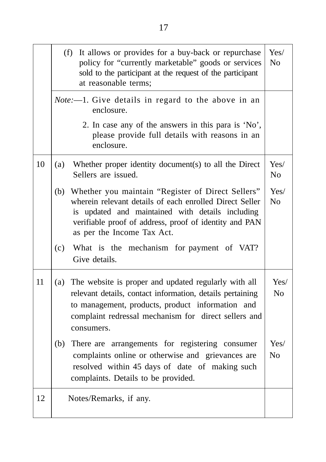|    | (f) It allows or provides for a buy-back or repurchase<br>policy for "currently marketable" goods or services<br>sold to the participant at the request of the participant<br>at reasonable terms;                                                           | Yes/<br>No             |
|----|--------------------------------------------------------------------------------------------------------------------------------------------------------------------------------------------------------------------------------------------------------------|------------------------|
|    | <i>Note</i> :--1. Give details in regard to the above in an<br>enclosure.                                                                                                                                                                                    |                        |
|    | 2. In case any of the answers in this para is 'No',<br>please provide full details with reasons in an<br>enclosure.                                                                                                                                          |                        |
| 10 | Whether proper identity document(s) to all the Direct<br>(a)<br>Sellers are issued.                                                                                                                                                                          | Yes/<br>No             |
|    | (b) Whether you maintain "Register of Direct Sellers"<br>wherein relevant details of each enrolled Direct Seller<br>is updated and maintained with details including<br>verifiable proof of address, proof of identity and PAN<br>as per the Income Tax Act. | Yes/<br>N <sub>o</sub> |
|    | What is the mechanism for payment of VAT?<br>(c)<br>Give details.                                                                                                                                                                                            |                        |
| 11 | (a)<br>The website is proper and updated regularly with all<br>relevant details, contact information, details pertaining<br>to management, products, product information and<br>complaint redressal mechanism for direct sellers and<br>consumers.           | Yes/<br>N <sub>o</sub> |
|    | There are arrangements for registering consumer<br>(b)<br>complaints online or otherwise and grievances are<br>resolved within 45 days of date of making such<br>complaints. Details to be provided.                                                         | Yes/<br>N <sub>o</sub> |
| 12 | Notes/Remarks, if any.                                                                                                                                                                                                                                       |                        |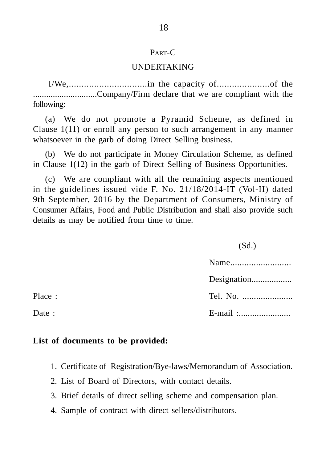#### $P_{\text{APT}}$

#### UNDERTAKING

I/We,...............................in the capacity of.....................of the .............................Company/Firm declare that we are compliant with the following:

(a) We do not promote a Pyramid Scheme, as defined in Clause 1(11) or enroll any person to such arrangement in any manner whatsoever in the garb of doing Direct Selling business.

(b) We do not participate in Money Circulation Scheme, as defined in Clause 1(12) in the garb of Direct Selling of Business Opportunities.

(c) We are compliant with all the remaining aspects mentioned in the guidelines issued vide F. No. 21/18/2014-IT (Vol-II) dated 9th September, 2016 by the Department of Consumers, Ministry of Consumer Affairs, Food and Public Distribution and shall also provide such details as may be notified from time to time.

(Sd.)

|        | Designation |
|--------|-------------|
| Place: | Tel. No.    |
| Date:  |             |
|        |             |

#### **List of documents to be provided:**

- 1. Certificate of Registration/Bye-laws/Memorandum of Association.
- 2. List of Board of Directors, with contact details.
- 3. Brief details of direct selling scheme and compensation plan.
- 4. Sample of contract with direct sellers/distributors.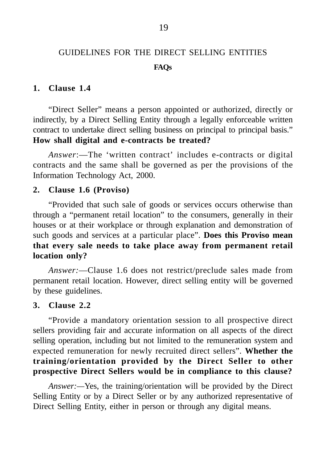# GUIDELINES FOR THE DIRECT SELLING ENTITIES **FAQs**

#### **1. Clause 1.4**

"Direct Seller" means a person appointed or authorized, directly or indirectly, by a Direct Selling Entity through a legally enforceable written contract to undertake direct selling business on principal to principal basis." **How shall digital and e-contracts be treated?**

*Answer*:—The 'written contract' includes e-contracts or digital contracts and the same shall be governed as per the provisions of the Information Technology Act, 2000.

#### **2. Clause 1.6 (Proviso)**

"Provided that such sale of goods or services occurs otherwise than through a "permanent retail location" to the consumers, generally in their houses or at their workplace or through explanation and demonstration of such goods and services at a particular place". **Does this Proviso mean that every sale needs to take place away from permanent retail location only?**

*Answer:*—Clause 1.6 does not restrict/preclude sales made from permanent retail location. However, direct selling entity will be governed by these guidelines.

#### **3. Clause 2.2**

"Provide a mandatory orientation session to all prospective direct sellers providing fair and accurate information on all aspects of the direct selling operation, including but not limited to the remuneration system and expected remuneration for newly recruited direct sellers". **Whether the training/orientation provided by the Direct Seller to other prospective Direct Sellers would be in compliance to this clause?**

*Answer:—*Yes, the training/orientation will be provided by the Direct Selling Entity or by a Direct Seller or by any authorized representative of Direct Selling Entity, either in person or through any digital means.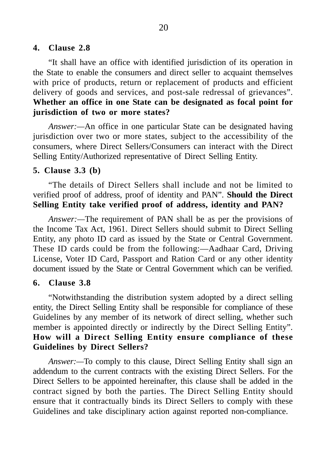#### **4. Clause 2.8**

"It shall have an office with identified jurisdiction of its operation in the State to enable the consumers and direct seller to acquaint themselves with price of products, return or replacement of products and efficient delivery of goods and services, and post-sale redressal of grievances". **Whether an office in one State can be designated as focal point for jurisdiction of two or more states?**

*Answer:—*An office in one particular State can be designated having jurisdiction over two or more states, subject to the accessibility of the consumers, where Direct Sellers/Consumers can interact with the Direct Selling Entity/Authorized representative of Direct Selling Entity.

#### **5. Clause 3.3 (b)**

"The details of Direct Sellers shall include and not be limited to verified proof of address, proof of identity and PAN". **Should the Direct Selling Entity take verified proof of address, identity and PAN?**

*Answer:—*The requirement of PAN shall be as per the provisions of the Income Tax Act, 1961. Direct Sellers should submit to Direct Selling Entity, any photo ID card as issued by the State or Central Government. These ID cards could be from the following:—Aadhaar Card, Driving License, Voter ID Card, Passport and Ration Card or any other identity document issued by the State or Central Government which can be verified.

#### **6. Clause 3.8**

"Notwithstanding the distribution system adopted by a direct selling entity, the Direct Selling Entity shall be responsible for compliance of these Guidelines by any member of its network of direct selling, whether such member is appointed directly or indirectly by the Direct Selling Entity". **How will a Direct Selling Entity ensure compliance of these Guidelines by Direct Sellers?**

*Answer:—*To comply to this clause, Direct Selling Entity shall sign an addendum to the current contracts with the existing Direct Sellers. For the Direct Sellers to be appointed hereinafter, this clause shall be added in the contract signed by both the parties. The Direct Selling Entity should ensure that it contractually binds its Direct Sellers to comply with these Guidelines and take disciplinary action against reported non-compliance.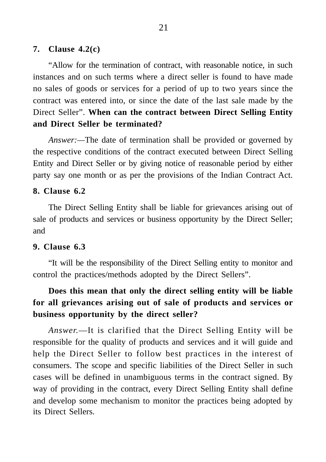#### **7. Clause 4.2(c)**

"Allow for the termination of contract, with reasonable notice, in such instances and on such terms where a direct seller is found to have made no sales of goods or services for a period of up to two years since the contract was entered into, or since the date of the last sale made by the Direct Seller". **When can the contract between Direct Selling Entity and Direct Seller be terminated?**

*Answer:—*The date of termination shall be provided or governed by the respective conditions of the contract executed between Direct Selling Entity and Direct Seller or by giving notice of reasonable period by either party say one month or as per the provisions of the Indian Contract Act.

#### **8. Clause 6.2**

The Direct Selling Entity shall be liable for grievances arising out of sale of products and services or business opportunity by the Direct Seller; and

#### **9. Clause 6.3**

"It will be the responsibility of the Direct Selling entity to monitor and control the practices/methods adopted by the Direct Sellers".

# **Does this mean that only the direct selling entity will be liable for all grievances arising out of sale of products and services or business opportunity by the direct seller?**

*Answer.*—It is clarified that the Direct Selling Entity will be responsible for the quality of products and services and it will guide and help the Direct Seller to follow best practices in the interest of consumers. The scope and specific liabilities of the Direct Seller in such cases will be defined in unambiguous terms in the contract signed. By way of providing in the contract, every Direct Selling Entity shall define and develop some mechanism to monitor the practices being adopted by its Direct Sellers.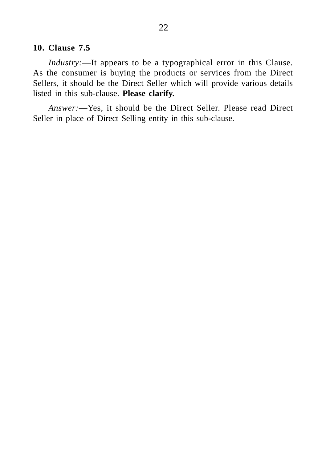#### **10. Clause 7.5**

*Industry:*—It appears to be a typographical error in this Clause. As the consumer is buying the products or services from the Direct Sellers, it should be the Direct Seller which will provide various details listed in this sub-clause. **Please clarify.**

*Answer:*—Yes, it should be the Direct Seller. Please read Direct Seller in place of Direct Selling entity in this sub-clause.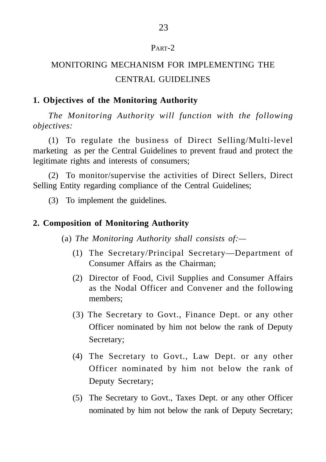#### PART-2

# MONITORING MECHANISM FOR IMPLEMENTING THE CENTRAL GUIDELINES

# **1. Objectives of the Monitoring Authority**

*The Monitoring Authority will function with the following objectives:*

(1) To regulate the business of Direct Selling/Multi-level marketing as per the Central Guidelines to prevent fraud and protect the legitimate rights and interests of consumers;

(2) To monitor/supervise the activities of Direct Sellers, Direct Selling Entity regarding compliance of the Central Guidelines;

(3) To implement the guidelines.

## **2. Composition of Monitoring Authority**

(a) *The Monitoring Authority shall consists of:—*

- (1) The Secretary/Principal Secretary—Department of Consumer Affairs as the Chairman;
- (2) Director of Food, Civil Supplies and Consumer Affairs as the Nodal Officer and Convener and the following members;
- (3) The Secretary to Govt., Finance Dept. or any other Officer nominated by him not below the rank of Deputy Secretary;
- (4) The Secretary to Govt., Law Dept. or any other Officer nominated by him not below the rank of Deputy Secretary;
- (5) The Secretary to Govt., Taxes Dept. or any other Officer nominated by him not below the rank of Deputy Secretary;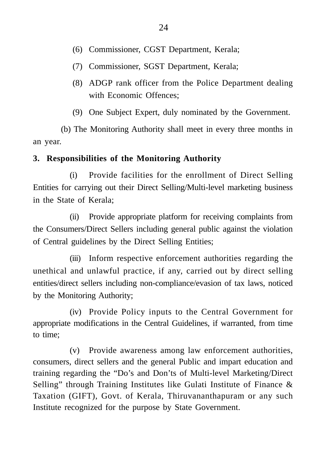- (6) Commissioner, CGST Department, Kerala;
- (7) Commissioner, SGST Department, Kerala;
- (8) ADGP rank officer from the Police Department dealing with Economic Offences;
- (9) One Subject Expert, duly nominated by the Government.

(b) The Monitoring Authority shall meet in every three months in an year.

# **3. Responsibilities of the Monitoring Authority**

(i) Provide facilities for the enrollment of Direct Selling Entities for carrying out their Direct Selling/Multi-level marketing business in the State of Kerala;

(ii) Provide appropriate platform for receiving complaints from the Consumers/Direct Sellers including general public against the violation of Central guidelines by the Direct Selling Entities;

(iii) Inform respective enforcement authorities regarding the unethical and unlawful practice, if any, carried out by direct selling entities/direct sellers including non-compliance/evasion of tax laws, noticed by the Monitoring Authority;

(iv) Provide Policy inputs to the Central Government for appropriate modifications in the Central Guidelines, if warranted, from time to time;

(v) Provide awareness among law enforcement authorities, consumers, direct sellers and the general Public and impart education and training regarding the "Do's and Don'ts of Multi-level Marketing/Direct Selling" through Training Institutes like Gulati Institute of Finance & Taxation (GIFT), Govt. of Kerala, Thiruvananthapuram or any such Institute recognized for the purpose by State Government.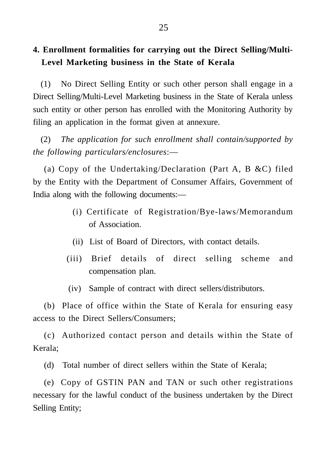# **4. Enrollment formalities for carrying out the Direct Selling/Multi-Level Marketing business in the State of Kerala**

(1) No Direct Selling Entity or such other person shall engage in a Direct Selling/Multi-Level Marketing business in the State of Kerala unless such entity or other person has enrolled with the Monitoring Authority by filing an application in the format given at annexure.

(2) *The application for such enrollment shall contain/supported by the following particulars/enclosures*:—

(a) Copy of the Undertaking/Declaration (Part A, B &C) filed by the Entity with the Department of Consumer Affairs, Government of India along with the following documents:—

- (i) Certificate of Registration/Bye-laws/Memorandum of Association.
- (ii) List of Board of Directors, with contact details.
- (iii) Brief details of direct selling scheme and compensation plan.
- (iv) Sample of contract with direct sellers/distributors.

(b) Place of office within the State of Kerala for ensuring easy access to the Direct Sellers/Consumers;

(c) Authorized contact person and details within the State of Kerala;

(d) Total number of direct sellers within the State of Kerala;

(e) Copy of GSTIN PAN and TAN or such other registrations necessary for the lawful conduct of the business undertaken by the Direct Selling Entity;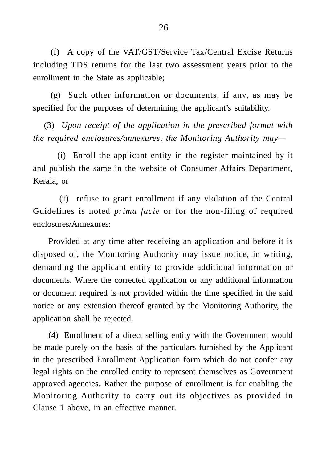(f) A copy of the VAT/GST/Service Tax/Central Excise Returns including TDS returns for the last two assessment years prior to the enrollment in the State as applicable;

(g) Such other information or documents, if any, as may be specified for the purposes of determining the applicant's suitability.

(3) *Upon receipt of the application in the prescribed format with the required enclosures/annexures, the Monitoring Authority may—*

(i) Enroll the applicant entity in the register maintained by it and publish the same in the website of Consumer Affairs Department, Kerala, or

(ii) refuse to grant enrollment if any violation of the Central Guidelines is noted *prima facie* or for the non-filing of required enclosures/Annexures:

Provided at any time after receiving an application and before it is disposed of, the Monitoring Authority may issue notice, in writing, demanding the applicant entity to provide additional information or documents. Where the corrected application or any additional information or document required is not provided within the time specified in the said notice or any extension thereof granted by the Monitoring Authority, the application shall be rejected.

(4) Enrollment of a direct selling entity with the Government would be made purely on the basis of the particulars furnished by the Applicant in the prescribed Enrollment Application form which do not confer any legal rights on the enrolled entity to represent themselves as Government approved agencies. Rather the purpose of enrollment is for enabling the Monitoring Authority to carry out its objectives as provided in Clause 1 above, in an effective manner.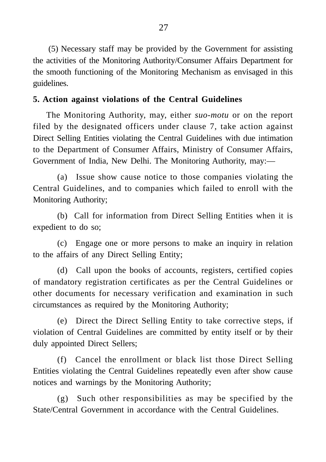(5) Necessary staff may be provided by the Government for assisting the activities of the Monitoring Authority/Consumer Affairs Department for the smooth functioning of the Monitoring Mechanism as envisaged in this guidelines.

## **5. Action against violations of the Central Guidelines**

The Monitoring Authority, may, either *suo-motu* or on the report filed by the designated officers under clause 7, take action against Direct Selling Entities violating the Central Guidelines with due intimation to the Department of Consumer Affairs, Ministry of Consumer Affairs, Government of India, New Delhi. The Monitoring Authority, may:—

(a) Issue show cause notice to those companies violating the Central Guidelines, and to companies which failed to enroll with the Monitoring Authority;

(b) Call for information from Direct Selling Entities when it is expedient to do so;

(c) Engage one or more persons to make an inquiry in relation to the affairs of any Direct Selling Entity;

(d) Call upon the books of accounts, registers, certified copies of mandatory registration certificates as per the Central Guidelines or other documents for necessary verification and examination in such circumstances as required by the Monitoring Authority;

(e) Direct the Direct Selling Entity to take corrective steps, if violation of Central Guidelines are committed by entity itself or by their duly appointed Direct Sellers;

(f) Cancel the enrollment or black list those Direct Selling Entities violating the Central Guidelines repeatedly even after show cause notices and warnings by the Monitoring Authority;

(g) Such other responsibilities as may be specified by the State/Central Government in accordance with the Central Guidelines.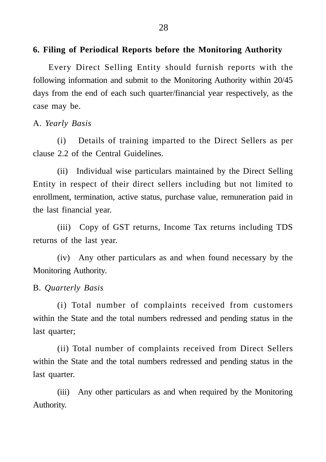#### **6. Filing of Periodical Reports before the Monitoring Authority**

Every Direct Selling Entity should furnish reports with the following information and submit to the Monitoring Authority within 20/45 days from the end of each such quarter/financial year respectively, as the case may be.

A. *Yearly Basis*

(i) Details of training imparted to the Direct Sellers as per clause 2.2 of the Central Guidelines.

(ii) Individual wise particulars maintained by the Direct Selling Entity in respect of their direct sellers including but not limited to enrollment, termination, active status, purchase value, remuneration paid in the last financial year.

(iii) Copy of GST returns, Income Tax returns including TDS returns of the last year.

(iv) Any other particulars as and when found necessary by the Monitoring Authority.

#### B. *Quarterly Basis*

(i) Total number of complaints received from customers within the State and the total numbers redressed and pending status in the last quarter;

(ii) Total number of complaints received from Direct Sellers within the State and the total numbers redressed and pending status in the last quarter.

(iii) Any other particulars as and when required by the Monitoring Authority.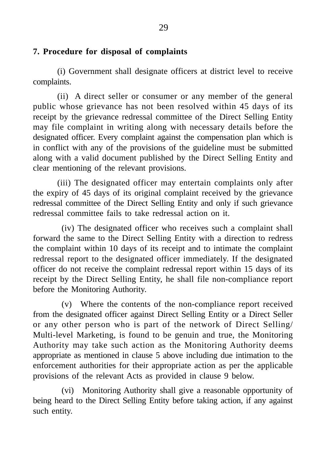## **7. Procedure for disposal of complaints**

(i) Government shall designate officers at district level to receive complaints.

(ii) A direct seller or consumer or any member of the general public whose grievance has not been resolved within 45 days of its receipt by the grievance redressal committee of the Direct Selling Entity may file complaint in writing along with necessary details before the designated officer. Every complaint against the compensation plan which is in conflict with any of the provisions of the guideline must be submitted along with a valid document published by the Direct Selling Entity and clear mentioning of the relevant provisions.

(iii) The designated officer may entertain complaints only after the expiry of 45 days of its original complaint received by the grievance redressal committee of the Direct Selling Entity and only if such grievance redressal committee fails to take redressal action on it.

(iv) The designated officer who receives such a complaint shall forward the same to the Direct Selling Entity with a direction to redress the complaint within 10 days of its receipt and to intimate the complaint redressal report to the designated officer immediately. If the designated officer do not receive the complaint redressal report within 15 days of its receipt by the Direct Selling Entity, he shall file non-compliance report before the Monitoring Authority.

(v) Where the contents of the non-compliance report received from the designated officer against Direct Selling Entity or a Direct Seller or any other person who is part of the network of Direct Selling/ Multi-level Marketing, is found to be genuin and true, the Monitoring Authority may take such action as the Monitoring Authority deems appropriate as mentioned in clause 5 above including due intimation to the enforcement authorities for their appropriate action as per the applicable provisions of the relevant Acts as provided in clause 9 below.

(vi) Monitoring Authority shall give a reasonable opportunity of being heard to the Direct Selling Entity before taking action, if any against such entity.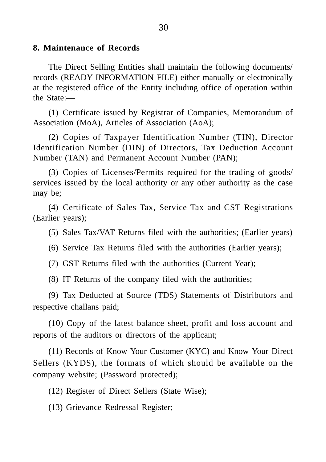#### **8. Maintenance of Records**

The Direct Selling Entities shall maintain the following documents/ records (READY INFORMATION FILE) either manually or electronically at the registered office of the Entity including office of operation within the State:—

(1) Certificate issued by Registrar of Companies, Memorandum of Association (MoA), Articles of Association (AoA);

(2) Copies of Taxpayer Identification Number (TIN), Director Identification Number (DIN) of Directors, Tax Deduction Account Number (TAN) and Permanent Account Number (PAN);

(3) Copies of Licenses/Permits required for the trading of goods/ services issued by the local authority or any other authority as the case may be;

(4) Certificate of Sales Tax, Service Tax and CST Registrations (Earlier years);

(5) Sales Tax/VAT Returns filed with the authorities; (Earlier years)

(6) Service Tax Returns filed with the authorities (Earlier years);

(7) GST Returns filed with the authorities (Current Year);

(8) IT Returns of the company filed with the authorities;

(9) Tax Deducted at Source (TDS) Statements of Distributors and respective challans paid;

(10) Copy of the latest balance sheet, profit and loss account and reports of the auditors or directors of the applicant;

(11) Records of Know Your Customer (KYC) and Know Your Direct Sellers (KYDS), the formats of which should be available on the company website; (Password protected);

(12) Register of Direct Sellers (State Wise);

(13) Grievance Redressal Register;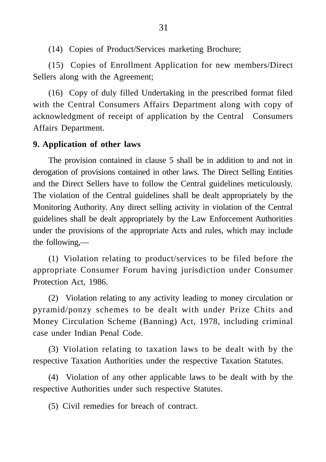(14) Copies of Product/Services marketing Brochure;

(15) Copies of Enrollment Application for new members/Direct Sellers along with the Agreement;

(16) Copy of duly filled Undertaking in the prescribed format filed with the Central Consumers Affairs Department along with copy of acknowledgment of receipt of application by the Central Consumers Affairs Department.

## **9. Application of other laws**

The provision contained in clause 5 shall be in addition to and not in derogation of provisions contained in other laws. The Direct Selling Entities and the Direct Sellers have to follow the Central guidelines meticulously. The violation of the Central guidelines shall be dealt appropriately by the Monitoring Authority. Any direct selling activity in violation of the Central guidelines shall be dealt appropriately by the Law Enforcement Authorities under the provisions of the appropriate Acts and rules, which may include the following,—

(1) Violation relating to product/services to be filed before the appropriate Consumer Forum having jurisdiction under Consumer Protection Act, 1986.

(2) Violation relating to any activity leading to money circulation or pyramid/ponzy schemes to be dealt with under Prize Chits and Money Circulation Scheme (Banning) Act, 1978, including criminal case under Indian Penal Code.

(3) Violation relating to taxation laws to be dealt with by the respective Taxation Authorities under the respective Taxation Statutes.

(4) Violation of any other applicable laws to be dealt with by the respective Authorities under such respective Statutes.

(5) Civil remedies for breach of contract.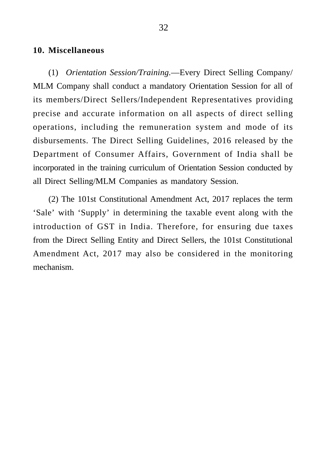#### **10. Miscellaneous**

(1) *Orientation Session/Training.*—Every Direct Selling Company/ MLM Company shall conduct a mandatory Orientation Session for all of its members/Direct Sellers/Independent Representatives providing precise and accurate information on all aspects of direct selling operations, including the remuneration system and mode of its disbursements. The Direct Selling Guidelines, 2016 released by the Department of Consumer Affairs, Government of India shall be incorporated in the training curriculum of Orientation Session conducted by all Direct Selling/MLM Companies as mandatory Session.

(2) The 101st Constitutional Amendment Act, 2017 replaces the term 'Sale' with 'Supply' in determining the taxable event along with the introduction of GST in India. Therefore, for ensuring due taxes from the Direct Selling Entity and Direct Sellers, the 101st Constitutional Amendment Act, 2017 may also be considered in the monitoring mechanism.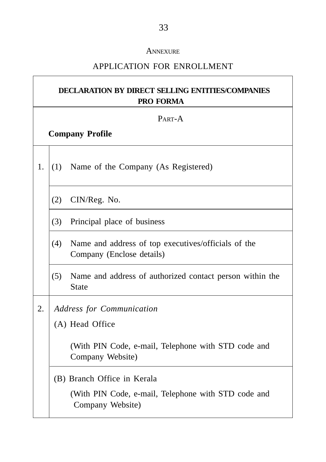#### **ANNEXURE**

## APPLICATION FOR ENROLLMENT

# **DECLARATION BY DIRECT SELLING ENTITIES/COMPANIES PRO FORMA**

PART-A

## **Company Profile**

1.  $(1)$  Name of the Company (As Registered)

(2) CIN/Reg. No.

- (3) Principal place of business
- (4) Name and address of top executives/officials of the Company (Enclose details)
- (5) Name and address of authorized contact person within the **State**
- 2. *Address for Communication*

(A) Head Office

(With PIN Code, e-mail, Telephone with STD code and Company Website)

(B) Branch Office in Kerala

(With PIN Code, e-mail, Telephone with STD code and Company Website)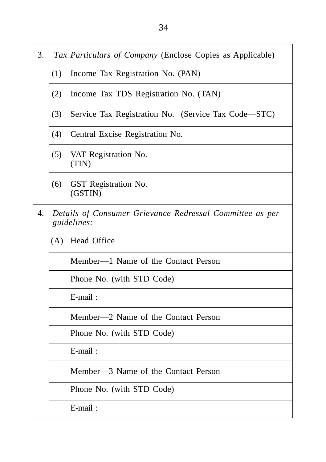- 3. *Tax Particulars of Company* (Enclose Copies as Applicable)
	- (1) Income Tax Registration No. (PAN)
	- (2) Income Tax TDS Registration No. (TAN)
	- (3) Service Tax Registration No. (Service Tax Code—STC)
	- (4) Central Excise Registration No.
	- (5) VAT Registration No. (TIN)
	- (6) GST Registration No. (GSTIN)
- 4. *Details of Consumer Grievance Redressal Committee as per guidelines:*
	- (A) Head Office

Member—1 Name of the Contact Person

Phone No. (with STD Code)

E-mail :

Member—2 Name of the Contact Person

Phone No. (with STD Code)

E-mail :

Member—3 Name of the Contact Person

Phone No. (with STD Code)

E-mail :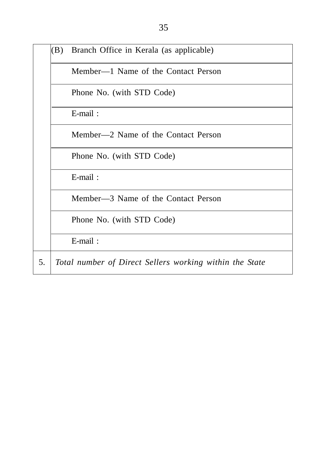$(B)$  Branch Office in Kerala (as applicable)

Member—1 Name of the Contact Person

Phone No. (with STD Code)

E-mail :

Member—2 Name of the Contact Person

Phone No. (with STD Code)

E-mail :

Member—3 Name of the Contact Person

Phone No. (with STD Code)

E-mail :

5. *Total number of Direct Sellers working within the State*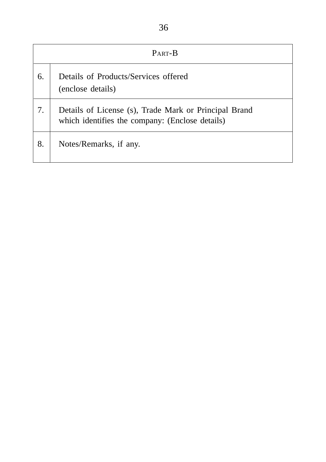| ł<br>I<br>۰<br>PU 1<br>۰.<br>I<br>۰,<br>×<br>×<br>۰,<br>× |
|-----------------------------------------------------------|
|-----------------------------------------------------------|

|    | PART-B                                                                                                   |
|----|----------------------------------------------------------------------------------------------------------|
| 6. | Details of Products/Services offered<br>(enclose details)                                                |
| 7. | Details of License (s), Trade Mark or Principal Brand<br>which identifies the company: (Enclose details) |
| 8. | Notes/Remarks, if any.                                                                                   |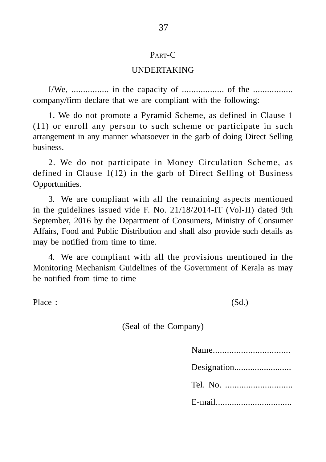#### PART-C

#### UNDERTAKING

I/We, ................ in the capacity of .................. of the ................. company/firm declare that we are compliant with the following:

1. We do not promote a Pyramid Scheme, as defined in Clause 1 (11) or enroll any person to such scheme or participate in such arrangement in any manner whatsoever in the garb of doing Direct Selling business.

2. We do not participate in Money Circulation Scheme, as defined in Clause 1(12) in the garb of Direct Selling of Business Opportunities.

3. We are compliant with all the remaining aspects mentioned in the guidelines issued vide F. No. 21/18/2014-IT (Vol-II) dated 9th September, 2016 by the Department of Consumers, Ministry of Consumer Affairs, Food and Public Distribution and shall also provide such details as may be notified from time to time.

4. We are compliant with all the provisions mentioned in the Monitoring Mechanism Guidelines of the Government of Kerala as may be notified from time to time

Place : (Sd.)

(Seal of the Company)

| Tel. No. |
|----------|
| E-mail   |